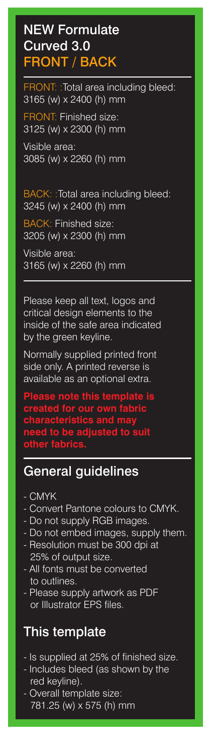NEW Formulate Curved 3.0 FRONT / BACK

FRONT: :Total area including bleed: 3165 (w) x 2400 (h) mm

FRONT: Finished size: 3125 (w) x 2300 (h) mm

Visible area: 3085 (w) x 2260 (h) mm

BACK: :Total area including bleed: 3245 (w) x 2400 (h) mm

BACK: Finished size: 3205 (w) x 2300 (h) mm

Visible area: 3165 (w) x 2260 (h) mm

Please keep all text, logos and critical design elements to the inside of the safe area indicated by the green keyline.

Normally supplied printed front side only. A printed reverse is available as an optional extra.

**Please note this template is created for our own fabric characteristics and may need to be adjusted to suit other fabrics.**

## General guidelines

- CMYK

- Convert Pantone colours to CMYK.
- Do not supply RGB images.
- Do not embed images, supply them.
- Resolution must be 300 dpi at 25% of output size.
- All fonts must be converted to outlines.
- Please supply artwork as PDF or Illustrator EPS files.

## This template

- Is supplied at 25% of finished size.
- Includes bleed (as shown by the red keyline).
- Overall template size: 781.25 (w) x 575 (h) mm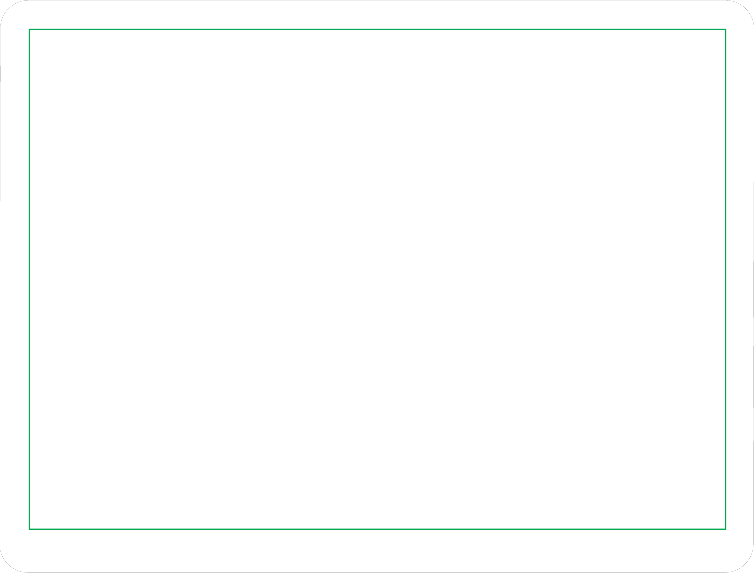